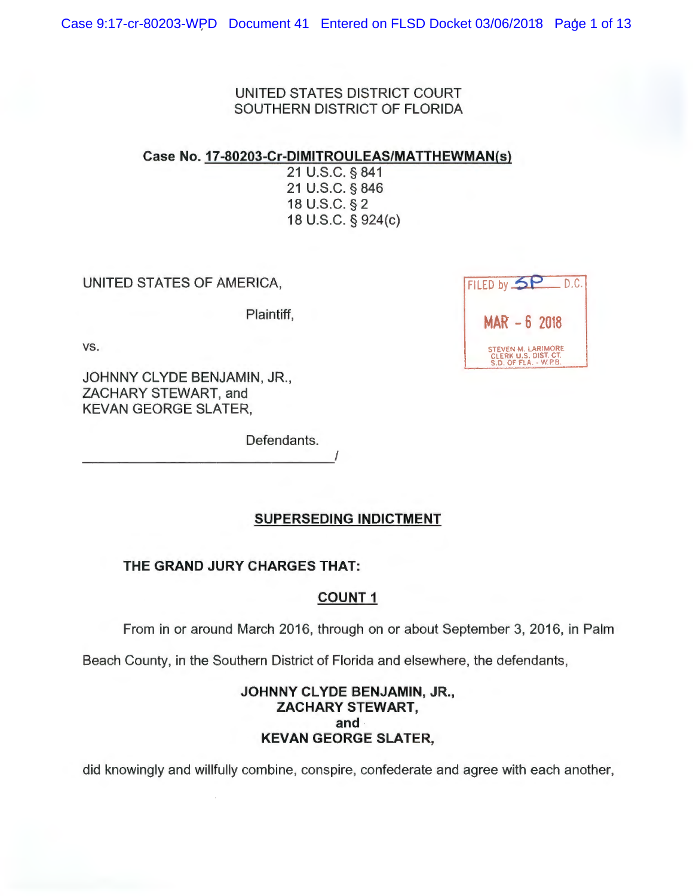UNITED STATES DISTRICT COURT SOUTHERN DISTRICT OF FLORIDA

Case **No. 17-80203-Cr-DIMITROULEAS/MATTHEWMAN(s)** 

21 U.S.C. § 841 21 U.S.C. § 846 18 U.S.C. § 2 18 U.S.C. § 924(c)

UNITED STATES OF AMERICA,

Plaintiff,

vs.

JOHNNY CLYDE BENJAMIN, JR. , ZACHARY STEWART, and KEVAN GEORGE SLATER,

Defendants.

**SUPERSEDING INDICTMENT** 

**THE GRAND JURY CHARGES THAT:** 

# **COUNT 1**

From in or around March 2016, through on or about September 3, 2016, in Palm

Beach County, in the Southern District of Florida and elsewhere, the defendants,

## **JOHNNY CLYDE BENJAMIN, JR., ZACHARY STEWART, and KEVAN GEORGE SLATER,**

did knowingly and willfully combine, conspire, confederate and agree with each another,

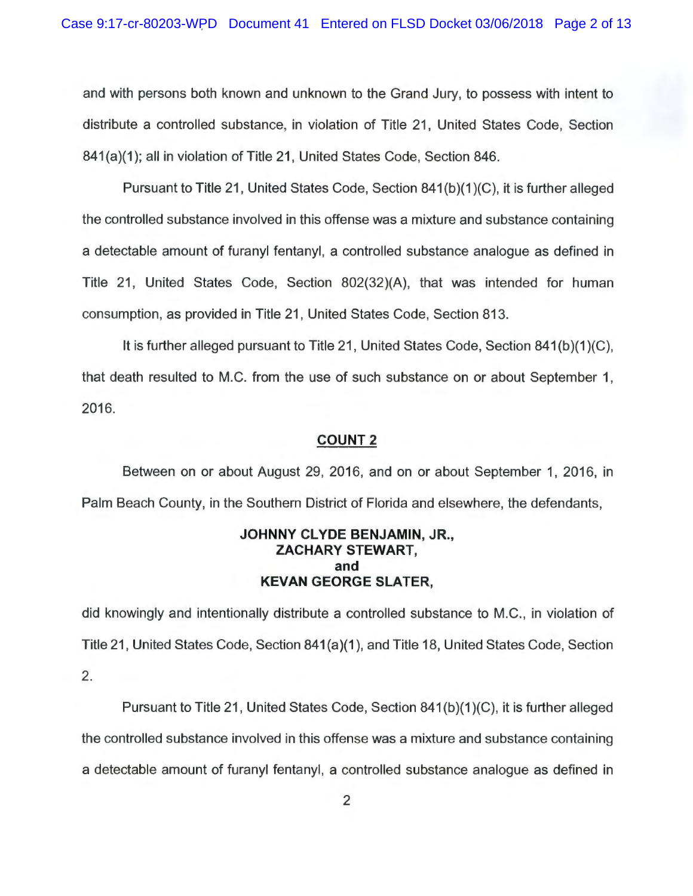and with persons both known and unknown to the Grand Jury, to possess with intent to distribute a controlled substance, in violation of Title 21, United States Code, Section 841(a)(1); all in violation of Title 21, United States Code, Section 846.

Pursuant to Title 21, United States Code, Section 841 (b)(1 )(C), it is further alleged the controlled substance involved in this offense was a mixture and substance containing a detectable amount of furanyl fentanyl, a controlled substance analogue as defined in Title 21, United States Code, Section 802(32)(A), that was intended for human consumption, as provided in Title 21 , United States Code, Section 813.

It is further alleged pursuant to Title 21, United States Code, Section 841(b)(1)(C), that death resulted to M.C. from the use of such substance on or about September 1, 2016.

## **COUNT 2**

Between on or about August 29, 2016, and on or about September 1, 2016, in Palm Beach County, in the Southern District of Florida and elsewhere, the defendants,

## **JOHNNY CLYDE BENJAMIN,** JR., **ZACHARY STEWART, and KEVAN GEORGE SLATER,**

did knowingly and intentionally distribute a controlled substance to M.C., in violation of Title 21 , United States Code, Section 841 (a)(1 ), and Title 18, United States Code, Section 2.

Pursuant to Title 21, United States Code, Section 841(b)(1)(C), it is further alleged the controlled substance involved in this offense was a mixture and substance containing a detectable amount of furanyl fentanyl, a controlled substance analogue as defined in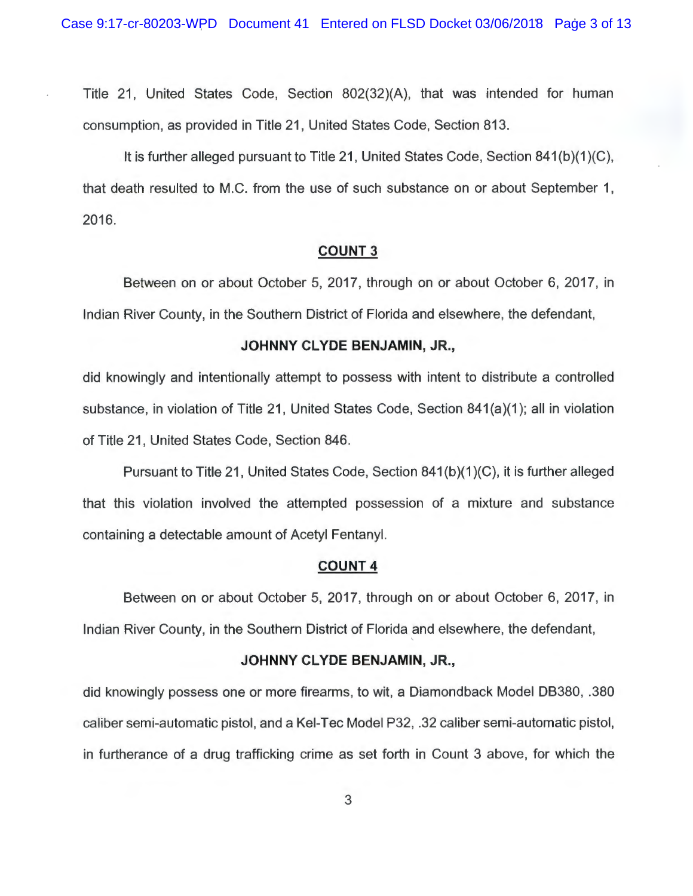Title 21, United States Code, Section 802(32)(A), that was intended for human consumption, as provided in Title 21, United States Code, Section 813.

It is further alleged pursuant to Title 21, United States Code, Section 841(b)(1)(C), that death resulted to M.C. from the use of such substance on or about September 1, 2016.

## **COUNT** 3

Between on or about October 5, 2017, through on or about October 6, 2017, in Indian River County, in the Southern District of Florida and elsewhere, the defendant,

## **JOHNNY CLYDE BENJAMIN,** JR.,

did knowingly and intentionally attempt to possess with intent to distribute a controlled substance, in violation of Title 21, United States Code, Section 841(a)(1); all in violation of Title 21, United States Code, Section 846.

Pursuant to Title 21, United States Code, Section 841(b)(1)(C), it is further alleged that this violation involved the attempted possession of a mixture and substance containing a detectable amount of Acetyl Fentanyl.

## **COUNT 4**

Between on or about October 5, 2017, through on or about October 6, 2017, in Indian River County, in the Southern District of Florida and elsewhere, the defendant,

## **JOHNNY CLYDE BENJAMIN, JR.,**

did knowingly possess one or more firearms, to wit, a Diamondback Model DB380, .380 caliber semi-automatic pistol, and a Kei-Tec Model P32, .32 caliber semi-automatic pistol, in furtherance of a drug trafficking crime as set forth in Count 3 above, for which the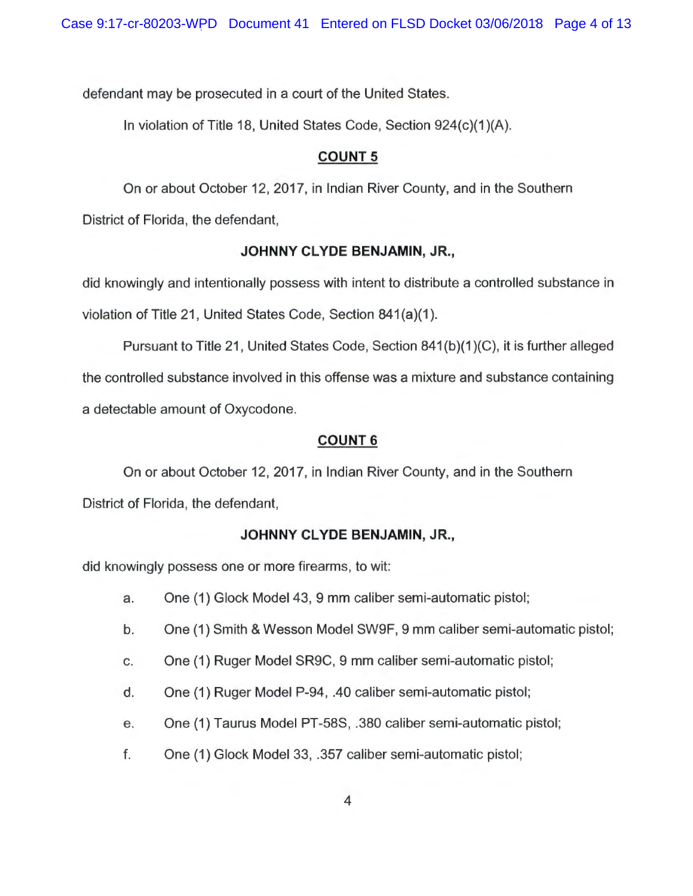defendant may be prosecuted in a court of the United States.

In violation of Title 18, United States Code, Section 924(c)(1 )(A).

# **COUNT 5**

On or about October 12, 2017, in Indian River County, and in the Southern District of Florida, the defendant,

# **JOHNNY CLYDE BENJAMIN, JR.,**

did knowingly and intentionally possess with intent to distribute a controlled substance in violation of Title 21, United States Code, Section 841(a)(1).

Pursuant to Title 21, United States Code, Section 841(b)(1)(C), it is further alleged the controlled substance involved in this offense was a mixture and substance containing a detectable amount of Oxycodone.

# **COUNT 6**

On or about October 12, 2017, in Indian River County, and in the Southern District of Florida, the defendant,

# **JOHNNY CLYDE BENJAMIN,** JR.,

did knowingly possess one or more firearms, to wit:

- a. One (1) Glock Model 43, 9 mm caliber semi-automatic pistol;
- b. One (1) Smith & Wesson Model SW9F, 9 mm caliber semi-automatic pistol;
- c. One (1) Ruger Model SR9C, 9 mm caliber semi-automatic pistol;
- d. One (1) Ruger Model P-94, .40 caliber semi-automatic pistol;
- e. One (1) Taurus Model PT-58S, .380 caliber semi-automatic pistol;
- f. One (1) Glock Model 33, .357 caliber semi-automatic pistol;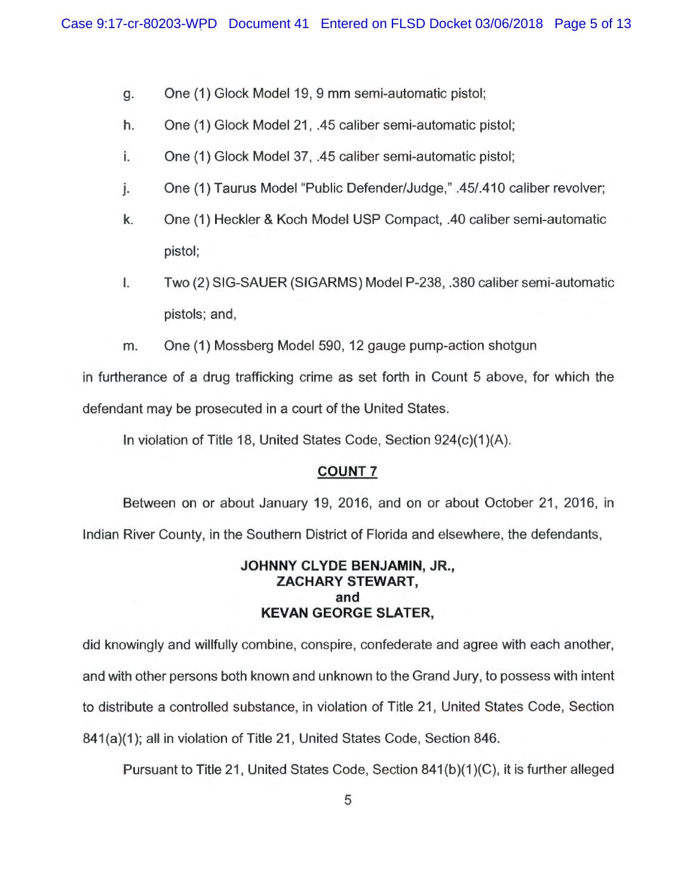- g. One (1) Glock Model 19, 9 mm semi-automatic pistol;
- h. One (1) Glock Model 21, .45 caliber semi-automatic pistol;
- i. One (1) Glock Model 37, .45 caliber semi-automatic pistol;
- j. One (1) Taurus Model "Public Defender/Judge," .45/.410 caliber revolver;
- k. One (1) Heckler & Koch Model USP Compact, .40 caliber semi-automatic pistol;
- I. Two (2) SIG-SAUER (SIGARMS) Model P-238, .380 caliber semi-automatic pistols; and,
- m. One (1) Mossberg Model 590, 12 gauge pump-action shotgun

in furtherance of a drug trafficking crime as set forth in Count 5 above, for which the defendant may be prosecuted in a court of the United States.

In violation of Title 18, United States Code, Section 924(c)(1 )(A).

## **COUNT 7**

Between on or about January 19, 2016, and on or about October 21, 2016, in Indian River County, in the Southern District of Florida and elsewhere, the defendants,

## **JOHNNY CLYDE BENJAMIN, JR., ZACHARY STEWART, and KEVAN GEORGE SLATER,**

did knowingly and willfully combine, conspire, confederate and agree with each another, and with other persons both known and unknown to the Grand Jury, to possess with intent to distribute a controlled substance, in violation of Title 21 , United States Code, Section 841(a)(1); all in violation of Title 21, United States Code, Section 846.

Pursuant to Title 21, United States Code, Section 841(b)(1)(C), it is further alleged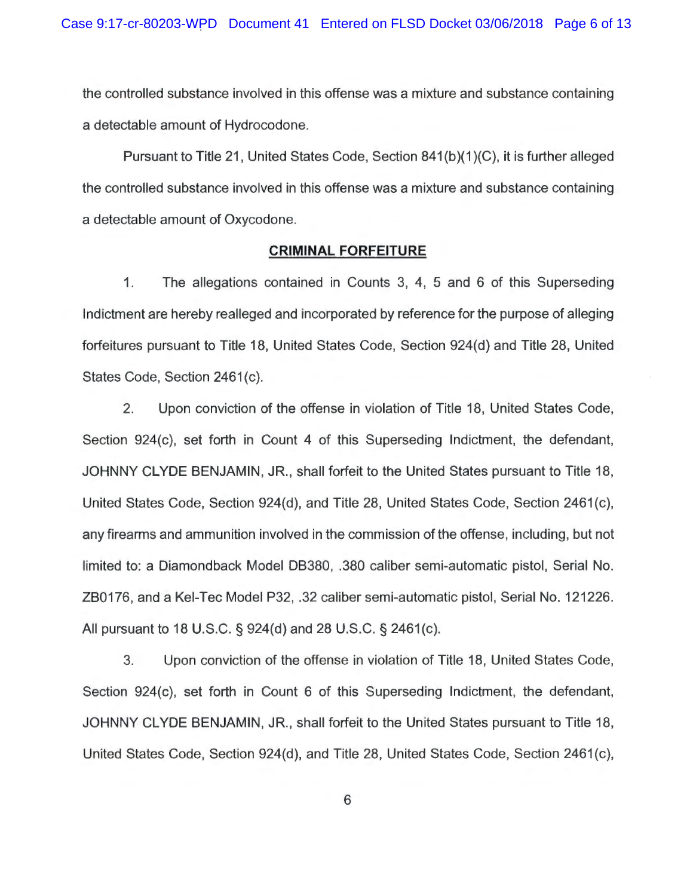the controlled substance involved in this offense was a mixture and substance containing a detectable amount of Hydrocodone.

Pursuant to Title 21 , United States Code, Section 841 (b)(1 )(C), it is further alleged the controlled substance involved in this offense was a mixture and substance containing a detectable amount of Oxycodone.

## **CRIMINAL FORFEITURE**

1. The allegations contained in Counts 3, 4, 5 and 6 of this Superseding Indictment are hereby realleged and incorporated by reference for the purpose of alleging forfeitures pursuant to Title 18, United States Code, Section 924(d) and Title 28, United States Code, Section 2461(c).

2. Upon conviction of the offense in violation of Title 18, United States Code, Section 924(c), set forth in Count 4 of this Superseding Indictment, the defendant, JOHNNY CLYDE BENJAMIN, JR., shall forfeit to the United States pursuant to Title 18, United States Code, Section 924(d), and Title 28, United States Code, Section 2461(c), any firearms and ammunition involved in the commission of the offense, including, but not limited to: a Diamondback Model DB380, .380 caliber semi-automatic pistol, Serial No. ZB0176, and a Kei-Tec Model P32, .32 caliber semi-automatic pistol, Serial No. 121226. All pursuant to 18 U.S.C. § 924(d) and 28 U.S.C. § 2461 (c).

3. Upon conviction of the offense in violation of Title 18, United States Code, Section 924(c), set forth in Count 6 of this Superseding Indictment, the defendant, JOHNNY CLYDE BENJAMIN, JR., shall forfeit to the United States pursuant to Title 18, United States Code, Section 924(d), and Title 28, United States Code, Section 2461(c),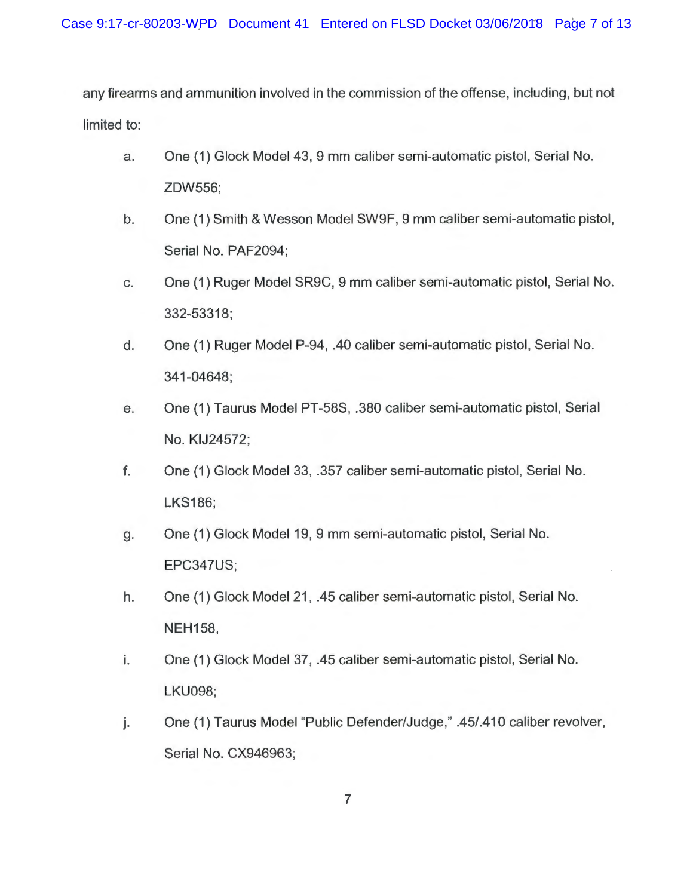any firearms and ammunition involved in the commission of the offense, including, but not limited to:

- a. One (1) Glock Model 43, 9 mm caliber semi-automatic pistol, Serial No. ZDW556;
- b. One (1) Smith & Wesson Model SW9F, 9 mm caliber semi-automatic pistol, Serial No. PAF2094;
- c. One (1) Ruger Model SR9C, 9 mm caliber semi-automatic pistol, Serial No. 332-53318;
- d. One (1) Ruger Model P-94, .40 caliber semi-automatic pistol, Serial No. 341 -04648;
- e. One (1) Taurus Model PT-58S, .380 caliber semi-automatic pistol, Serial No. KIJ24572;
- f. One (1) Glock Model 33, .357 caliber semi-automatic pistol, Serial No. LKS186;
- g. One (1) Glock Model 19, 9 mm semi-automatic pistol, Serial No. EPC347US;
- h. One (1) Glock Model 21, .45 caliber semi-automatic pistol, Serial No. NEH158,
- i. One (1) Glock Model 37, .45 caliber semi-automatic pistol, Serial No. LKU098;
- j. One (1) Taurus Model "Public Defender/Judge," .45/.410 caliber revolver, Serial No. CX946963;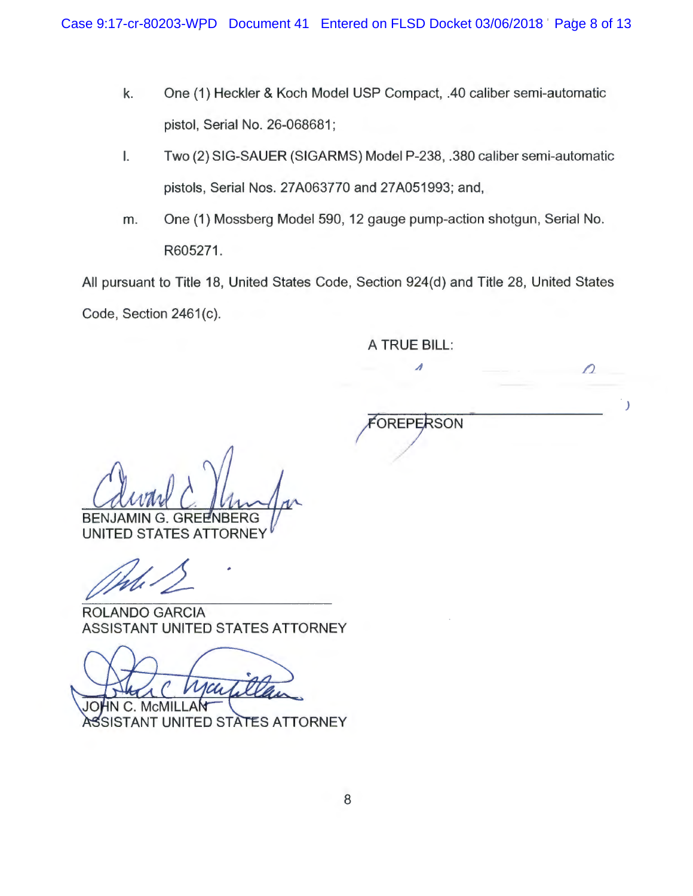- k. One (1) Heckler & Koch Model USP Compact, .40 caliber semi-automatic pistol, Serial No. 26-068681;
- I. Two (2) SIG-SAUER (SIGARMS) Model P-238, .380 caliber semi-automatic pistols, Serial Nos. 27 A063770 and 27 A051993; and,
- m. One (1) Mossberg Model 590, 12 gauge pump-action shotgun, Serial No. R605271.

All pursuant to Title 18, United States Code, Section 924(d) and Title 28, United States Code, Section 2461(c).

A TRUE BILL:

⊿

**FOREPERSON** 

*/)* 

J

**BENJAMIN G. GREENBERG** 

**UNITED STATES ATTORNEY** 

ROLANDO GARCIA ASSISTANT UNITED STATES ATTORNEY

 $McN$ JOI

C. ASSISTANT UNITED STATES ATTORNEY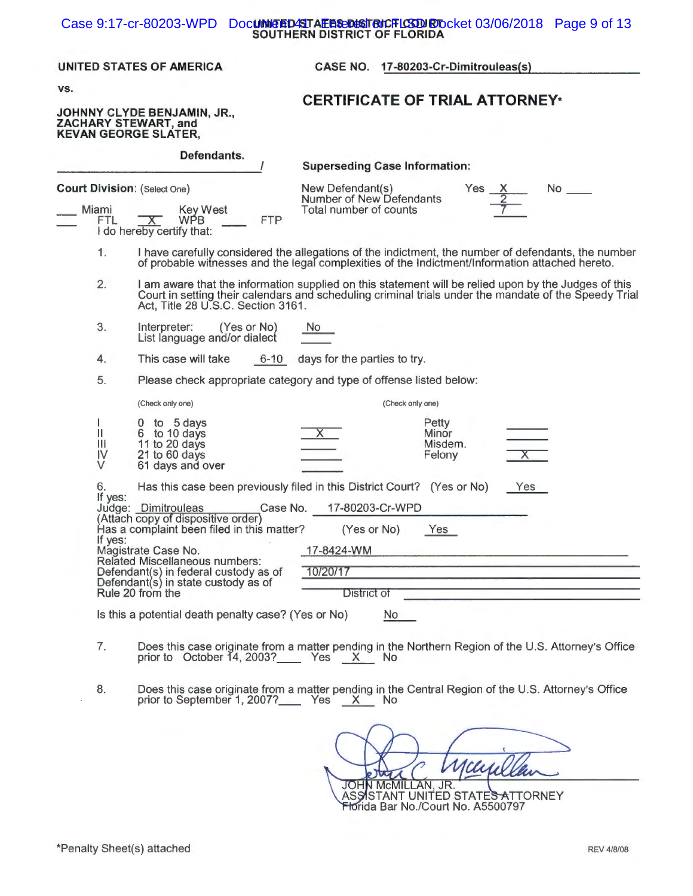#### **UNITED/STAEFISEDISTRICFLCSDURTO** Case 9:17-cr-80203-WPD Document **ALES DAST AVE FLORIDA** Case 9:17-cr-80203-WPD Document **SOUTHERN DISTRICT OF FLORIDA**

### **UNITED STATES OF AMERICA CASE NO. 17 -80203-Cr-Dimitrouleas(s)**

**vs.** 

# **JOHNNY CLYDE BENJAMIN, JR., ZACHARY STEWART, and KEVAN GEORGE SLATER,**

**Defendants.** 

# **CERTIFICATE OF TRIAL ATTORNEY\***

|                                                           |                                                                                                                                                                                                                                                                      |            | <b>Superseding Case Information:</b>                                                                                                                                                                                                           |
|-----------------------------------------------------------|----------------------------------------------------------------------------------------------------------------------------------------------------------------------------------------------------------------------------------------------------------------------|------------|------------------------------------------------------------------------------------------------------------------------------------------------------------------------------------------------------------------------------------------------|
| <b>Court Division: (Select One)</b>                       |                                                                                                                                                                                                                                                                      |            | New Defendant(s)<br>Yes<br>No.<br>Number of New Defendants                                                                                                                                                                                     |
| Miami<br>FTL.                                             | Key West<br>WPB.<br>X.<br>I do hereby certify that:                                                                                                                                                                                                                  | <b>FTP</b> | Total number of counts                                                                                                                                                                                                                         |
| 1.                                                        |                                                                                                                                                                                                                                                                      |            | I have carefully considered the allegations of the indictment, the number of defendants, the number<br>of probable witnesses and the legal complexities of the Indictment/Information attached hereto.                                         |
| 2.                                                        | Act, Title 28 U.S.C. Section 3161.                                                                                                                                                                                                                                   |            | I am aware that the information supplied on this statement will be relied upon by the Judges of this<br>Court in setting their calendars and scheduling criminal trials under the mandate of the Speedy Trial                                  |
| 3.                                                        | Interpreter:<br>(Yes or No)<br>List language and/or dialect                                                                                                                                                                                                          |            | No.                                                                                                                                                                                                                                            |
| 4.                                                        | This case will take                                                                                                                                                                                                                                                  | $6 - 10$   | days for the parties to try.                                                                                                                                                                                                                   |
| 5.                                                        |                                                                                                                                                                                                                                                                      |            | Please check appropriate category and type of offense listed below:                                                                                                                                                                            |
|                                                           | (Check only one)                                                                                                                                                                                                                                                     |            | (Check only one)                                                                                                                                                                                                                               |
| Ш<br>Ш<br>IV<br>V                                         | to 5 days<br>0<br>6 to 10 days<br>11 to 20 days<br>21 to 60 days<br>61 days and over                                                                                                                                                                                 |            | Petty<br>Minor<br>Misdem.<br>$\mathsf{X}$<br>Felony                                                                                                                                                                                            |
| 6.<br>If yes:<br>If yes:                                  | Judge: Dimitrouleas<br>(Attach copy of dispositive order)<br>Has a complaint been filed in this matter?<br>Magistrate Case No.<br>Related Miscellaneous numbers:<br>Defendant(s) in federal custody as of<br>Defendant(s) in state custody as of<br>Rule 20 from the | Case No.   | Has this case been previously filed in this District Court? (Yes or No)<br>Yes<br>17-80203-Cr-WPD<br>(Yes or No)<br>Yes<br>17-8424-WM<br>the company of the company of the company of the company of the company of<br>10/20/17<br>District of |
| Is this a potential death penalty case? (Yes or No)<br>No |                                                                                                                                                                                                                                                                      |            |                                                                                                                                                                                                                                                |

- 7. Does this case originate from a matter pending in the Northern Region of the U.S. Attorney's Office prior to  $\overline{O}$  October 14, 2003?\_\_\_\_\_\_\_ Yes \_\_\_\_\_\_\_ No
- 8. Does this case originate from a matter pending in the Central Region of the U.S. Attorney's Office prior to September 1, 2007?\_\_\_\_\_\_ Yes \_\_<u>\_X\_\_\_</u> No

JOHN MCMILLAN, JR.<br>ASSISTANT UNITED STATES ATTORNEY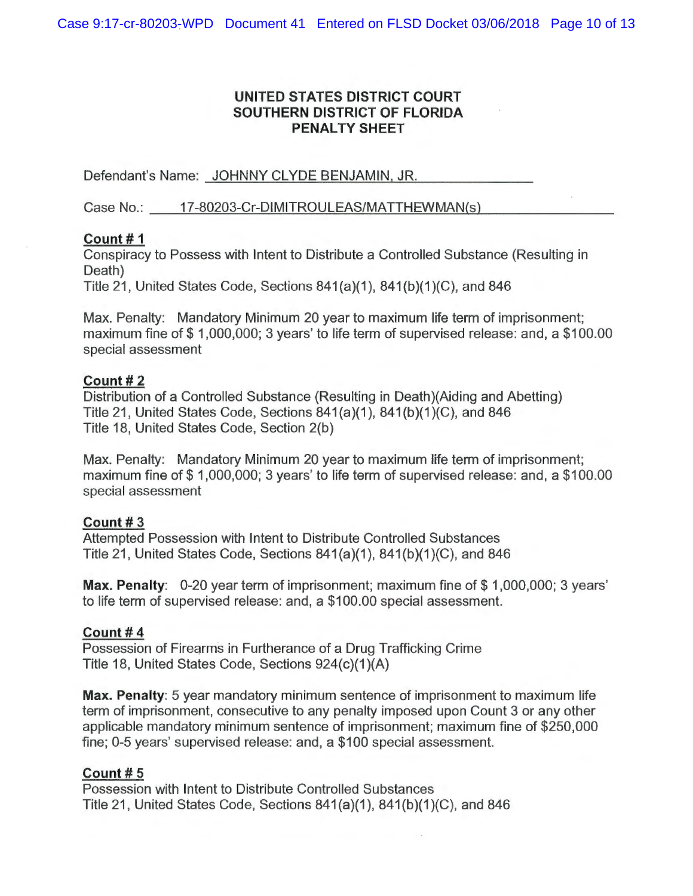# UNITED STATES DISTRICT COURT SOUTHERN DISTRICT OF FLORIDA **PENALTY SHEET**

Defendant's Name: JOHNNY CLYDE BENJAMIN, JR.

Case No.: 17-80203-Cr-DIMITROULEAS/MATTHEWMAN(s)

## Count#1

Conspiracy to Possess with Intent to Distribute a Controlled Substance (Resulting in Death)

Title 21, United States Code, Sections 841(a)(1), 841(b)(1)(C), and 846

Max. Penalty: Mandatory Minimum 20 year to maximum life term of imprisonment; maximum fine of \$1,000,000; 3 years' to life term of supervised release: and, a \$100.00 special assessment

# Count #2

Distribution of a Controlled Substance (Resulting in Death) (Aiding and Abetting) Title 21, United States Code, Sections 841(a)(1), 841(b)(1)(C), and 846 Title 18, United States Code, Section 2(b)

Max. Penalty: Mandatory Minimum 20 year to maximum life term of imprisonment; maximum fine of \$1,000,000; 3 years' to life term of supervised release: and, a \$100.00 special assessment

# Count#3

Attempted Possession with Intent to Distribute Controlled Substances Title 21, United States Code, Sections 841(a)(1), 841(b)(1)(C), and 846

Max. Penalty: 0-20 year term of imprisonment; maximum fine of \$1,000,000; 3 years' to life term of supervised release: and, a \$100.00 special assessment.

# Count #4

Possession of Firearms in Furtherance of a Drug Trafficking Crime Title 18, United States Code, Sections 924(c)(1)(A)

Max. Penalty: 5 year mandatory minimum sentence of imprisonment to maximum life term of imprisonment, consecutive to any penalty imposed upon Count 3 or any other applicable mandatory minimum sentence of imprisonment; maximum fine of \$250,000 fine; 0-5 years' supervised release: and, a \$100 special assessment.

# Count#5

Possession with Intent to Distribute Controlled Substances Title 21, United States Code, Sections 841(a)(1), 841(b)(1)(C), and 846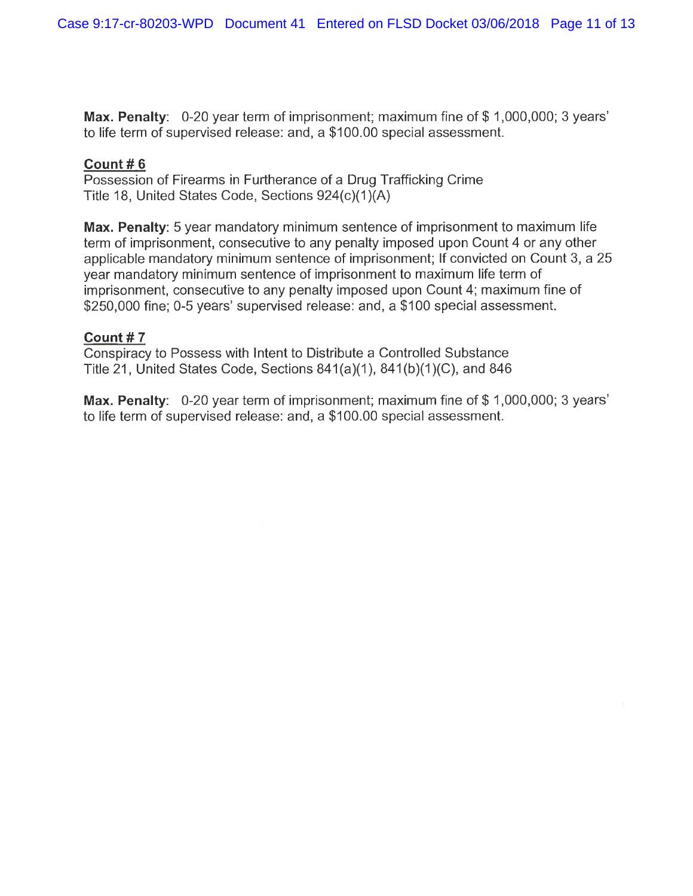**Max. Penalty:** 0-20 year term of imprisonment; maximum fine of \$1,000,000; 3 years' to life term of supervised release: and, a \$100.00 special assessment.

# **Count# 6**

Possession of Firearms in Furtherance of a Drug Trafficking Crime Title 18, United States Code, Sections 924(c)(1 )(A)

**Max. Penalty:** 5 year mandatory minimum sentence of imprisonment to maximum life term of imprisonment, consecutive to any penalty imposed upon Count 4 or any other applicable mandatory minimum sentence of imprisonment; If convicted on Count 3, a 25 year mandatory minimum sentence of imprisonment to maximum life term of imprisonment, consecutive to any penalty imposed upon Count 4; maximum fine of \$250,000 fine; 0-5 years' supervised release: and, a \$100 special assessment.

# **Count# 7**

Conspiracy to Possess with Intent to Distribute a Controlled Substance Title 21, United States Code, Sections 841(a)(1), 841(b)(1)(C), and 846

Max. Penalty: 0-20 year term of imprisonment; maximum fine of \$1,000,000; 3 years' to life term of supervised release: and, a \$100.00 special assessment.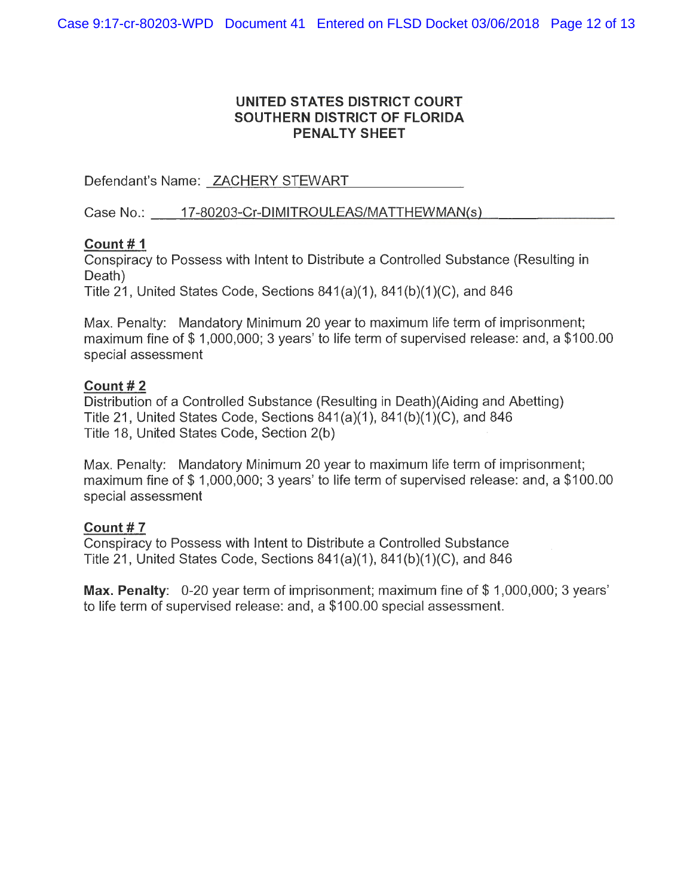# UNITED STATES DISTRICT COURT SOUTHERN DISTRICT OF FLORIDA **PENALTY SHEET**

Defendant's Name: ZACHERY STEWART

Case No.: 17-80203-Cr-DIMITROULEAS/MATTHEWMAN(s)

# Count  $# 1$

Conspiracy to Possess with Intent to Distribute a Controlled Substance (Resulting in Death)

Title 21, United States Code, Sections  $841(a)(1)$ ,  $841(b)(1)(C)$ , and  $846$ 

Max. Penalty: Mandatory Minimum 20 year to maximum life term of imprisonment; maximum fine of \$1,000,000; 3 years' to life term of supervised release: and, a \$100.00 special assessment

# Count  $#2$

Distribution of a Controlled Substance (Resulting in Death) (Aiding and Abetting) Title 21, United States Code, Sections 841(a)(1), 841(b)(1)(C), and 846 Title 18, United States Code, Section 2(b)

Max. Penalty: Mandatory Minimum 20 year to maximum life term of imprisonment; maximum fine of \$1,000,000; 3 years' to life term of supervised release: and, a \$100.00 special assessment

# Count #7

Conspiracy to Possess with Intent to Distribute a Controlled Substance Title 21, United States Code, Sections 841(a)(1), 841(b)(1)(C), and 846

Max. Penalty: 0-20 year term of imprisonment; maximum fine of \$1,000,000; 3 years' to life term of supervised release: and, a \$100.00 special assessment.